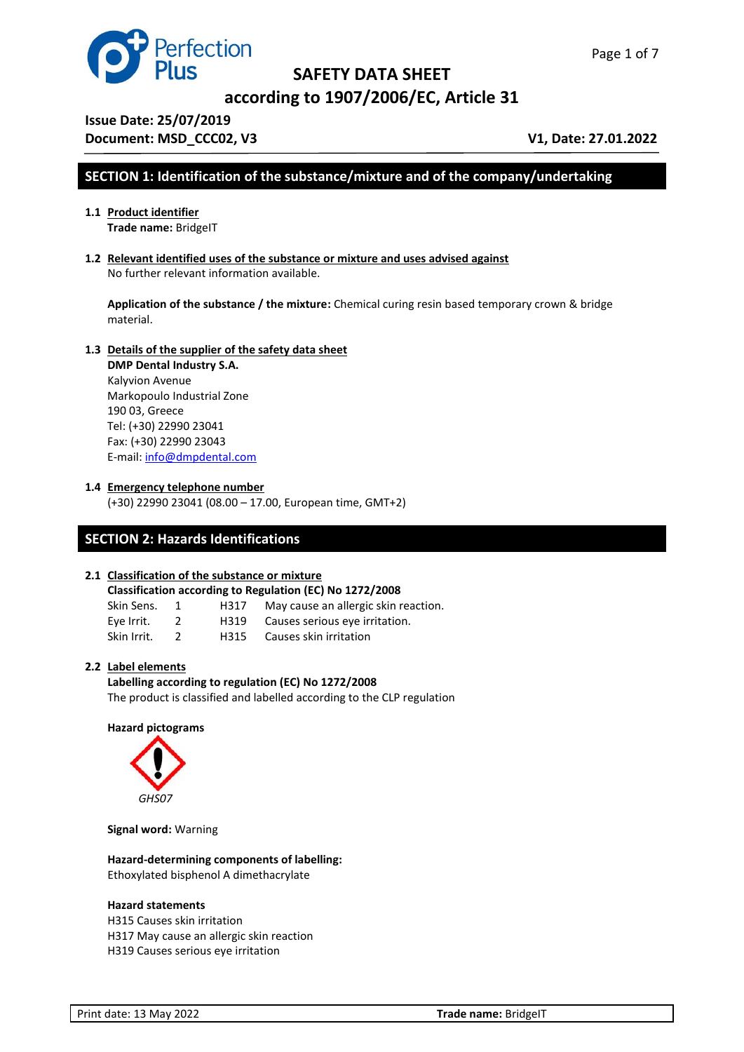



**according to 1907/2006/EC, Article 31**

**Issue Date: 25/07/2019 Document: MSD\_CCC02, V3** V1, Date: 27.01.2022

# **SECTION 1: Identification of the substance/mixture and of the company/undertaking**

- **1.1 Product identifier Trade name:** BridgeIT
- **1.2 Relevant identified uses of the substance or mixture and uses advised against**  No further relevant information available.

**Application of the substance / the mixture:** Chemical curing resin based temporary crown & bridge material.

#### **1.3 Details of the supplier of the safety data sheet**

**DMP Dental Industry S.A.** Kalyvion Avenue Markopoulo Industrial Zone 190 03, Greece Tel: (+30) 22990 23041 Fax: (+30) 22990 23043 E-mail: [info@dmpdental.com](mailto:info@dmpdental.com) 

#### **1.4 Emergency telephone number**

(+30) 22990 23041 (08.00 – 17.00, European time, GMT+2)

# **SECTION 2: Hazards Identifications**

#### **2.1 Classification of the substance or mixture**

|           |  | Classification according to Regulation (EC) No 1272/2008 |
|-----------|--|----------------------------------------------------------|
| Clin Conc |  | Mau sausa an allergia skin re                            |

| Skin Sens.  | H317 | May cause an allergic skin reaction. |
|-------------|------|--------------------------------------|
| Eye Irrit.  | H319 | Causes serious eve irritation.       |
| Skin Irrit. | H315 | Causes skin irritation               |

#### **2.2 Label elements**

**Labelling according to regulation (EC) No 1272/2008** The product is classified and labelled according to the CLP regulation

#### **Hazard pictograms**



**Signal word:** Warning

**Hazard-determining components of labelling:** Ethoxylated bisphenol A dimethacrylate

#### **Hazard statements**

H315 Causes skin irritation H317 May cause an allergic skin reaction H319 Causes serious eye irritation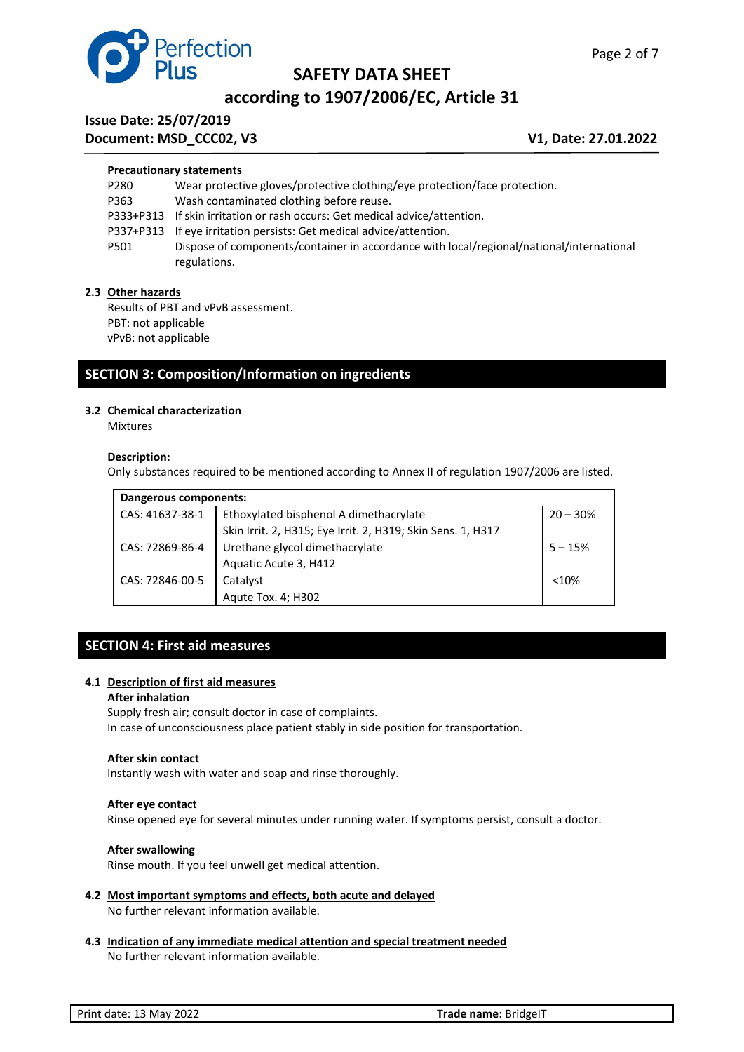

# **according to 1907/2006/EC, Article 31**

# **Issue Date: 25/07/2019**

**Document: MSD\_CCC02, V3** V1, Date: 27.01.2022

Page 2 of 7

#### **Precautionary statements**

| P280 | Wear protective gloves/protective clothing/eye protection/face protection.               |
|------|------------------------------------------------------------------------------------------|
| P363 | Wash contaminated clothing before reuse.                                                 |
|      | P333+P313 If skin irritation or rash occurs: Get medical advice/attention.               |
|      | P337+P313 If eye irritation persists: Get medical advice/attention.                      |
| P501 | Dispose of components/container in accordance with local/regional/national/international |
|      | regulations.                                                                             |

#### **2.3 Other hazards**

Results of PBT and νPνB assessment. PBT: not applicable νPνB: not applicable

# **SECTION 3: Composition/Information on ingredients**

#### **3.2 Chemical characterization**

Mixtures

#### **Description:**

Only substances required to be mentioned according to Annex II of regulation 1907/2006 are listed.

| Dangerous components: |                                                             |           |  |
|-----------------------|-------------------------------------------------------------|-----------|--|
| CAS: 41637-38-1       | Ethoxylated bisphenol A dimethacrylate<br>$20 - 30%$        |           |  |
|                       | Skin Irrit. 2, H315; Eye Irrit. 2, H319; Skin Sens. 1, H317 |           |  |
| CAS: 72869-86-4       | Urethane glycol dimethacrylate                              | $5 - 15%$ |  |
|                       | Aquatic Acute 3, H412                                       |           |  |
| CAS: 72846-00-5       | Catalyst                                                    | $<$ 10%   |  |
|                       | Agute Tox. 4; H302                                          |           |  |

# **SECTION 4: First aid measures**

#### **4.1 Description of first aid measures**

#### **After inhalation**

Supply fresh air; consult doctor in case of complaints. In case of unconsciousness place patient stably in side position for transportation.

#### **After skin contact**

Instantly wash with water and soap and rinse thoroughly.

#### **After eye contact**

Rinse opened eye for several minutes under running water. If symptoms persist, consult a doctor.

#### **After swallowing**

Rinse mouth. If you feel unwell get medical attention.

- **4.2 Most important symptoms and effects, both acute and delayed** No further relevant information available.
- **4.3 Indication of any immediate medical attention and special treatment needed** No further relevant information available.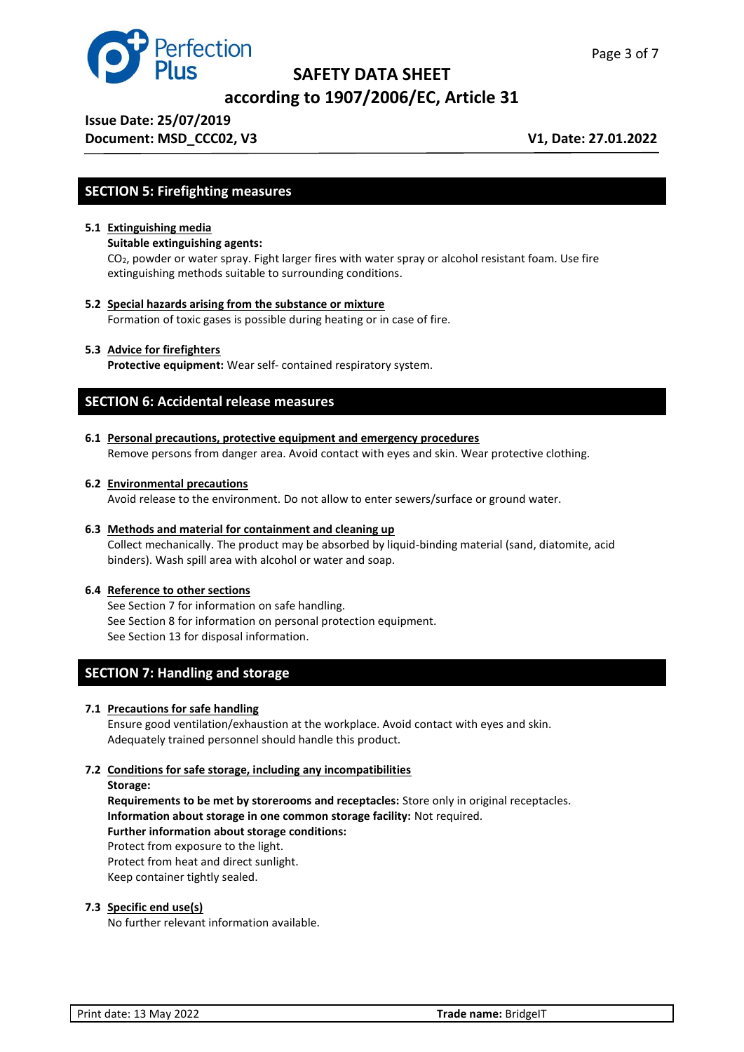

**according to 1907/2006/EC, Article 31**

**Issue Date: 25/07/2019** 

**Document: MSD\_CCC02, V3** V1, Date: 27.01.2022

# **SECTION 5: Firefighting measures**

#### **5.1 Extinguishing media**

#### **Suitable extinguishing agents:**

CO2, powder or water spray. Fight larger fires with water spray or alcohol resistant foam. Use fire extinguishing methods suitable to surrounding conditions.

**5.2 Special hazards arising from the substance or mixture**

Formation of toxic gases is possible during heating or in case of fire.

#### **5.3 Advice for firefighters**

**Protective equipment:** Wear self- contained respiratory system.

## **SECTION 6: Accidental release measures**

**6.1 Personal precautions, protective equipment and emergency procedures**

Remove persons from danger area. Avoid contact with eyes and skin. Wear protective clothing.

#### **6.2 Environmental precautions**

Avoid release to the environment. Do not allow to enter sewers/surface or ground water.

#### **6.3 Methods and material for containment and cleaning up**

Collect mechanically. The product may be absorbed by liquid-binding material (sand, diatomite, acid binders). Wash spill area with alcohol or water and soap.

#### **6.4 Reference to other sections**

See Section 7 for information on safe handling. See Section 8 for information on personal protection equipment. See Section 13 for disposal information.

# **SECTION 7: Handling and storage**

#### **7.1 Precautions for safe handling**

Ensure good ventilation/exhaustion at the workplace. Avoid contact with eyes and skin. Adequately trained personnel should handle this product.

### **7.2 Conditions for safe storage, including any incompatibilities**

#### **Storage:**

**Requirements to be met by storerooms and receptacles:** Store only in original receptacles. **Information about storage in one common storage facility:** Not required. **Further information about storage conditions:** Protect from exposure to the light. Protect from heat and direct sunlight. Keep container tightly sealed.

#### **7.3 Specific end use(s)**

No further relevant information available.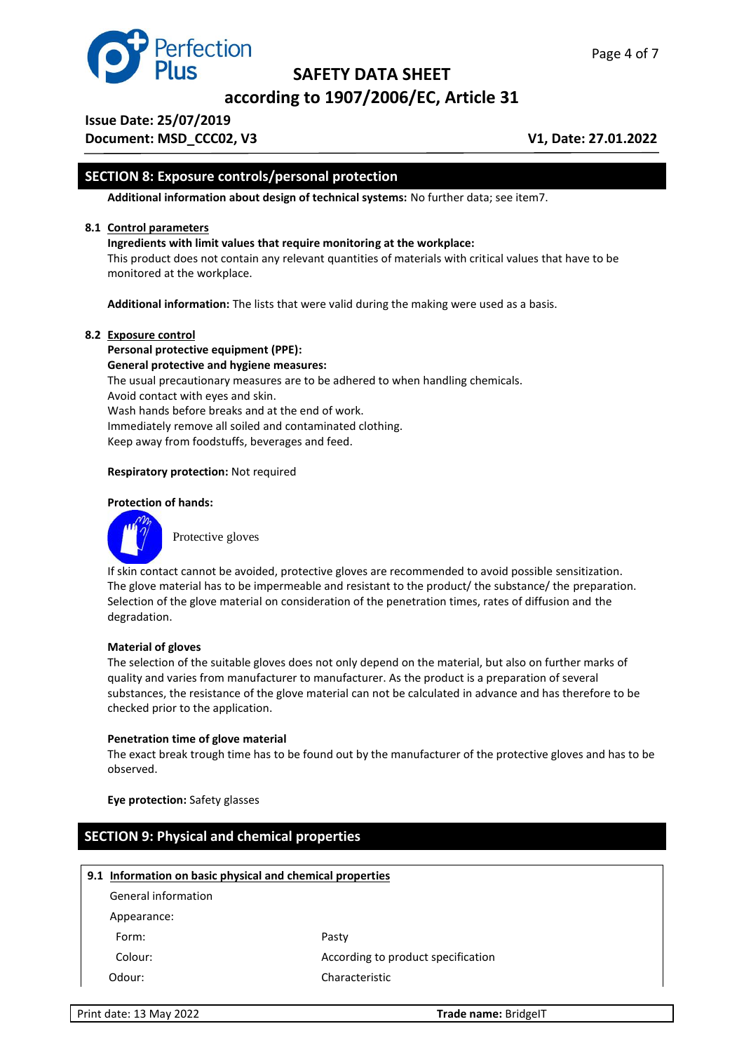

**according to 1907/2006/EC, Article 31**

**Issue Date: 25/07/2019** 

**Document: MSD\_CCC02, V3** V1, Date: 27.01.2022

# **SECTION 8: Exposure controls/personal protection**

**Additional information about design of technical systems:** No further data; see item7.

#### **8.1 Control parameters**

#### **Ingredients with limit values that require monitoring at the workplace:**

This product does not contain any relevant quantities of materials with critical values that have to be monitored at the workplace.

**Additional information:** The lists that were valid during the making were used as a basis.

#### **8.2 Exposure control**

**Personal protective equipment (PPE): General protective and hygiene measures:** The usual precautionary measures are to be adhered to when handling chemicals. Avoid contact with eyes and skin. Wash hands before breaks and at the end of work. Immediately remove all soiled and contaminated clothing. Keep away from foodstuffs, beverages and feed.

#### **Respiratory protection:** Not required

#### **Protection of hands:**



Protective gloves

If skin contact cannot be avoided, protective gloves are recommended to avoid possible sensitization. The glove material has to be impermeable and resistant to the product/ the substance/ the preparation. Selection of the glove material on consideration of the penetration times, rates of diffusion and the degradation.

#### **Material of gloves**

The selection of the suitable gloves does not only depend on the material, but also on further marks of quality and varies from manufacturer to manufacturer. As the product is a preparation of several substances, the resistance of the glove material can not be calculated in advance and has therefore to be checked prior to the application.

#### **Penetration time of glove material**

The exact break trough time has to be found out by the manufacturer of the protective gloves and has to be observed.

**Eye protection:** Safety glasses

# **SECTION 9: Physical and chemical properties**

#### **9.1 Information on basic physical and chemical properties**

General information

Appearance:

Form: Pasty

Colour: According to product specification Odour: Characteristic

Print date: 13 May 2022 **Trade name:** BridgeIT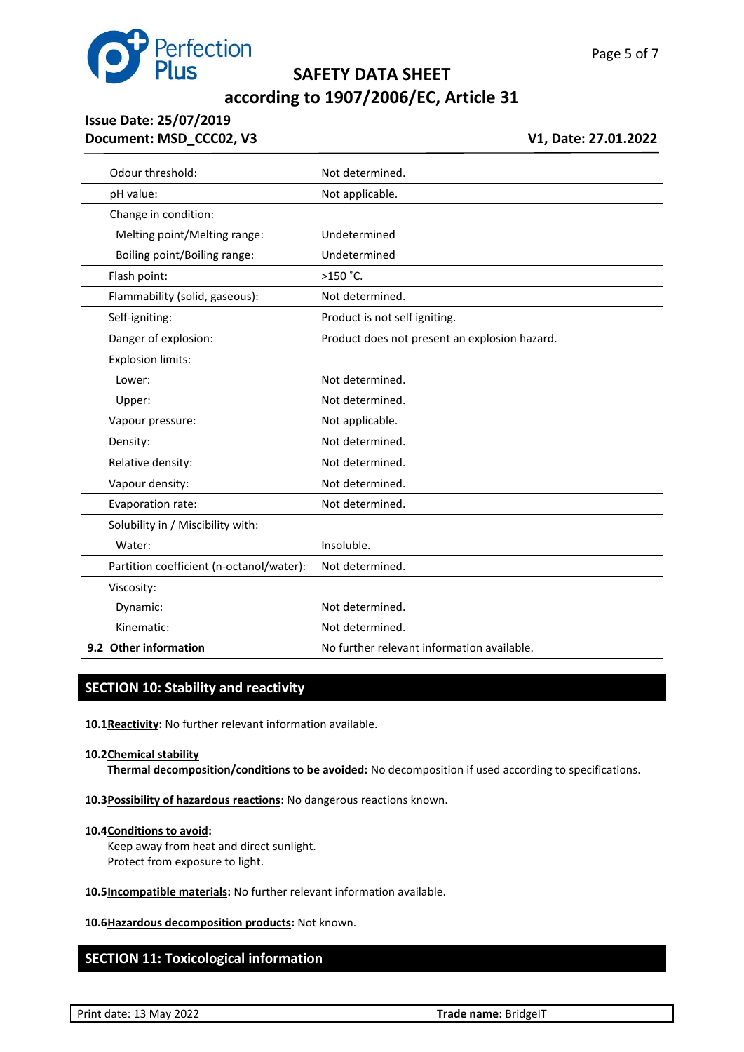

# **according to 1907/2006/EC, Article 31**

# **Issue Date: 25/07/2019 Document: MSD\_CCC02, V3** V1, Date: 27.01.2022

| Odour threshold:                         | Not determined.                               |
|------------------------------------------|-----------------------------------------------|
| pH value:                                | Not applicable.                               |
| Change in condition:                     |                                               |
| Melting point/Melting range:             | Undetermined                                  |
| Boiling point/Boiling range:             | Undetermined                                  |
| Flash point:                             | $>150$ °C.                                    |
| Flammability (solid, gaseous):           | Not determined.                               |
| Self-igniting:                           | Product is not self igniting.                 |
| Danger of explosion:                     | Product does not present an explosion hazard. |
| <b>Explosion limits:</b>                 |                                               |
| Lower:                                   | Not determined.                               |
| Upper:                                   | Not determined.                               |
| Vapour pressure:                         | Not applicable.                               |
| Density:                                 | Not determined.                               |
| Relative density:                        | Not determined.                               |
| Vapour density:                          | Not determined.                               |
| Evaporation rate:                        | Not determined.                               |
| Solubility in / Miscibility with:        |                                               |
| Water:                                   | Insoluble.                                    |
| Partition coefficient (n-octanol/water): | Not determined.                               |
| Viscosity:                               |                                               |
| Dynamic:                                 | Not determined.                               |
| Kinematic:                               | Not determined.                               |
| 9.2 Other information                    | No further relevant information available.    |

## **SECTION 10: Stability and reactivity**

**10.1Reactivity:** No further relevant information available.

#### **10.2Chemical stability**

**Thermal decomposition/conditions to be avoided:** No decomposition if used according to specifications.

**10.3Possibility of hazardous reactions:** No dangerous reactions known.

#### **10.4Conditions to avoid:**

Keep away from heat and direct sunlight. Protect from exposure to light.

**10.5Incompatible materials:** No further relevant information available.

**10.6Hazardous decomposition products:** Not known.

# **SECTION 11: Toxicological information**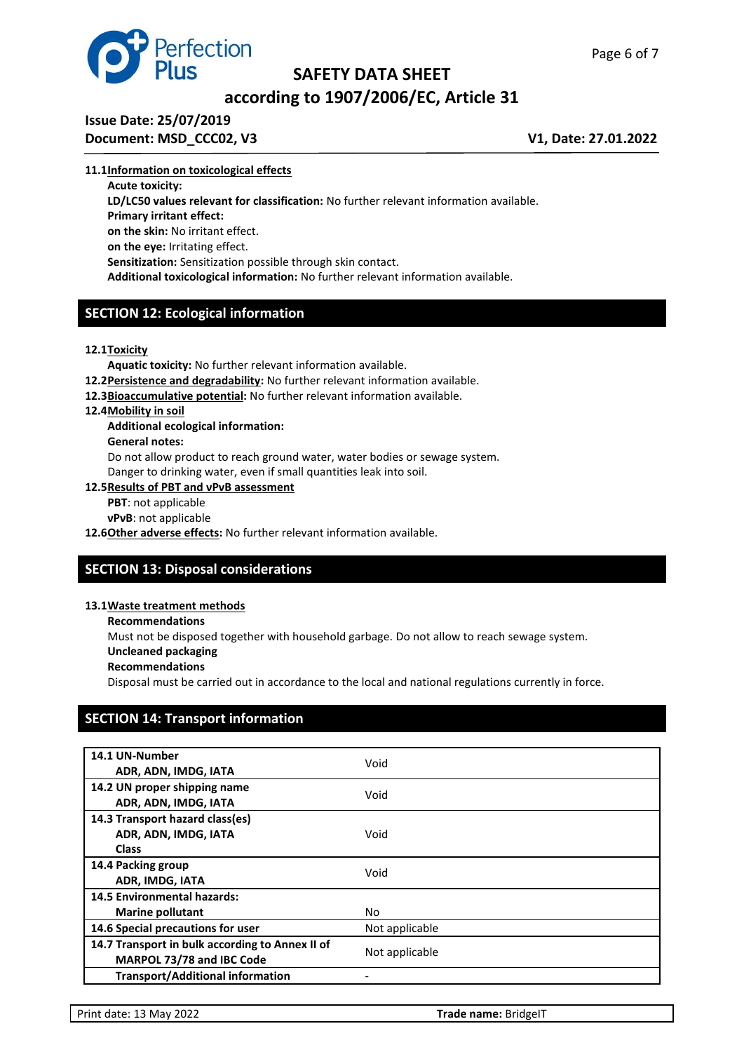



# **according to 1907/2006/EC, Article 31**

# **Issue Date: 25/07/2019**

**Document: MSD\_CCC02, V3** V1, Date: 27.01.2022

#### **11.1Information on toxicological effects**

**Acute toxicity:**

**LD/LC50 values relevant for classification:** No further relevant information available. **Primary irritant effect: on the skin:** No irritant effect. **on the eye:** Irritating effect. **Sensitization:** Sensitization possible through skin contact.

**Additional toxicological information:** No further relevant information available.

# **SECTION 12: Ecological information**

#### **12.1Toxicity**

**Aquatic toxicity:** No further relevant information available.

**12.2Persistence and degradability:** No further relevant information available.

**12.3Bioaccumulative potential:** No further relevant information available.

#### **12.4Mobility in soil**

### **Additional ecological information:**

**General notes:**

Do not allow product to reach ground water, water bodies or sewage system. Danger to drinking water, even if small quantities leak into soil.

#### **12.5Results of PBT and νPνB assessment**

**PBT**: not applicable

**νPνB**: not applicable

**12.6Other adverse effects:** No further relevant information available.

# **SECTION 13: Disposal considerations**

#### **13.1Waste treatment methods**

**Recommendations**

Must not be disposed together with household garbage. Do not allow to reach sewage system.

- **Uncleaned packaging**
- **Recommendations**

Disposal must be carried out in accordance to the local and national regulations currently in force.

# **SECTION 14: Transport information**

| 14.1 UN-Number<br>ADR, ADN, IMDG, IATA                                       | Void           |
|------------------------------------------------------------------------------|----------------|
| 14.2 UN proper shipping name<br>ADR, ADN, IMDG, IATA                         | Void           |
| 14.3 Transport hazard class(es)<br>ADR, ADN, IMDG, IATA<br><b>Class</b>      | Void           |
| 14.4 Packing group<br>ADR, IMDG, IATA                                        | Void           |
| <b>14.5 Environmental hazards:</b><br><b>Marine pollutant</b>                | No             |
| 14.6 Special precautions for user                                            | Not applicable |
| 14.7 Transport in bulk according to Annex II of<br>MARPOL 73/78 and IBC Code | Not applicable |
| <b>Transport/Additional information</b>                                      |                |